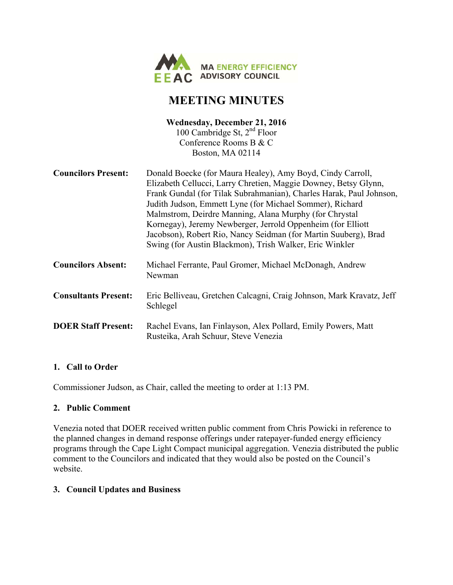

# **MEETING MINUTES**

### **Wednesday, December 21, 2016**  100 Cambridge St,  $2<sup>nd</sup>$  Floor Conference Rooms B & C Boston, MA 02114

| <b>Councilors Present:</b>  | Donald Boecke (for Maura Healey), Amy Boyd, Cindy Carroll,<br>Elizabeth Cellucci, Larry Chretien, Maggie Downey, Betsy Glynn,<br>Frank Gundal (for Tilak Subrahmanian), Charles Harak, Paul Johnson,<br>Judith Judson, Emmett Lyne (for Michael Sommer), Richard<br>Malmstrom, Deirdre Manning, Alana Murphy (for Chrystal<br>Kornegay), Jeremy Newberger, Jerrold Oppenheim (for Elliott<br>Jacobson), Robert Rio, Nancy Seidman (for Martin Suuberg), Brad<br>Swing (for Austin Blackmon), Trish Walker, Eric Winkler |
|-----------------------------|-------------------------------------------------------------------------------------------------------------------------------------------------------------------------------------------------------------------------------------------------------------------------------------------------------------------------------------------------------------------------------------------------------------------------------------------------------------------------------------------------------------------------|
| <b>Councilors Absent:</b>   | Michael Ferrante, Paul Gromer, Michael McDonagh, Andrew<br>Newman                                                                                                                                                                                                                                                                                                                                                                                                                                                       |
| <b>Consultants Present:</b> | Eric Belliveau, Gretchen Calcagni, Craig Johnson, Mark Kravatz, Jeff<br>Schlegel                                                                                                                                                                                                                                                                                                                                                                                                                                        |
| <b>DOER Staff Present:</b>  | Rachel Evans, Ian Finlayson, Alex Pollard, Emily Powers, Matt<br>Rusteika, Arah Schuur, Steve Venezia                                                                                                                                                                                                                                                                                                                                                                                                                   |

### **1. Call to Order**

Commissioner Judson, as Chair, called the meeting to order at 1:13 PM.

### **2. Public Comment**

Venezia noted that DOER received written public comment from Chris Powicki in reference to the planned changes in demand response offerings under ratepayer-funded energy efficiency programs through the Cape Light Compact municipal aggregation. Venezia distributed the public comment to the Councilors and indicated that they would also be posted on the Council's website.

### **3. Council Updates and Business**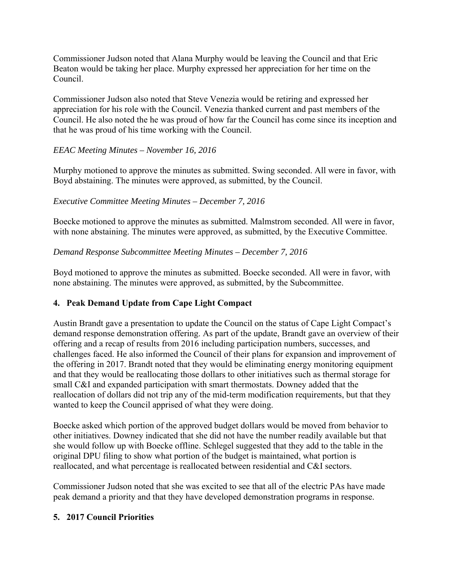Commissioner Judson noted that Alana Murphy would be leaving the Council and that Eric Beaton would be taking her place. Murphy expressed her appreciation for her time on the Council.

Commissioner Judson also noted that Steve Venezia would be retiring and expressed her appreciation for his role with the Council. Venezia thanked current and past members of the Council. He also noted the he was proud of how far the Council has come since its inception and that he was proud of his time working with the Council.

### *EEAC Meeting Minutes – November 16, 2016*

Murphy motioned to approve the minutes as submitted. Swing seconded. All were in favor, with Boyd abstaining. The minutes were approved, as submitted, by the Council.

### *Executive Committee Meeting Minutes – December 7, 2016*

Boecke motioned to approve the minutes as submitted. Malmstrom seconded. All were in favor, with none abstaining. The minutes were approved, as submitted, by the Executive Committee.

#### *Demand Response Subcommittee Meeting Minutes – December 7, 2016*

Boyd motioned to approve the minutes as submitted. Boecke seconded. All were in favor, with none abstaining. The minutes were approved, as submitted, by the Subcommittee.

### **4. Peak Demand Update from Cape Light Compact**

Austin Brandt gave a presentation to update the Council on the status of Cape Light Compact's demand response demonstration offering. As part of the update, Brandt gave an overview of their offering and a recap of results from 2016 including participation numbers, successes, and challenges faced. He also informed the Council of their plans for expansion and improvement of the offering in 2017. Brandt noted that they would be eliminating energy monitoring equipment and that they would be reallocating those dollars to other initiatives such as thermal storage for small C&I and expanded participation with smart thermostats. Downey added that the reallocation of dollars did not trip any of the mid-term modification requirements, but that they wanted to keep the Council apprised of what they were doing.

Boecke asked which portion of the approved budget dollars would be moved from behavior to other initiatives. Downey indicated that she did not have the number readily available but that she would follow up with Boecke offline. Schlegel suggested that they add to the table in the original DPU filing to show what portion of the budget is maintained, what portion is reallocated, and what percentage is reallocated between residential and C&I sectors.

Commissioner Judson noted that she was excited to see that all of the electric PAs have made peak demand a priority and that they have developed demonstration programs in response.

### **5. 2017 Council Priorities**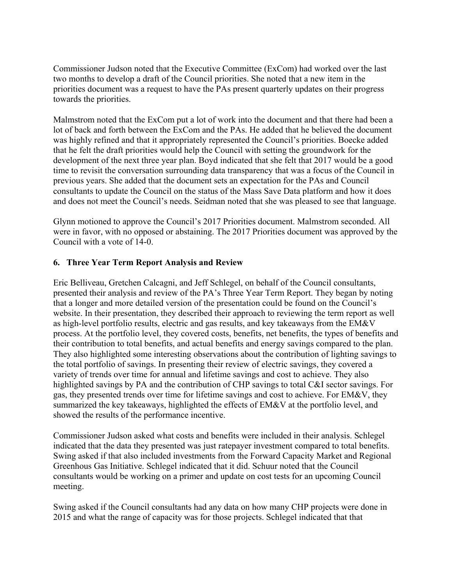Commissioner Judson noted that the Executive Committee (ExCom) had worked over the last two months to develop a draft of the Council priorities. She noted that a new item in the priorities document was a request to have the PAs present quarterly updates on their progress towards the priorities.

Malmstrom noted that the ExCom put a lot of work into the document and that there had been a lot of back and forth between the ExCom and the PAs. He added that he believed the document was highly refined and that it appropriately represented the Council's priorities. Boecke added that he felt the draft priorities would help the Council with setting the groundwork for the development of the next three year plan. Boyd indicated that she felt that 2017 would be a good time to revisit the conversation surrounding data transparency that was a focus of the Council in previous years. She added that the document sets an expectation for the PAs and Council consultants to update the Council on the status of the Mass Save Data platform and how it does and does not meet the Council's needs. Seidman noted that she was pleased to see that language.

Glynn motioned to approve the Council's 2017 Priorities document. Malmstrom seconded. All were in favor, with no opposed or abstaining. The 2017 Priorities document was approved by the Council with a vote of 14-0.

### **6. Three Year Term Report Analysis and Review**

Eric Belliveau, Gretchen Calcagni, and Jeff Schlegel, on behalf of the Council consultants, presented their analysis and review of the PA's Three Year Term Report. They began by noting that a longer and more detailed version of the presentation could be found on the Council's website. In their presentation, they described their approach to reviewing the term report as well as high-level portfolio results, electric and gas results, and key takeaways from the EM&V process. At the portfolio level, they covered costs, benefits, net benefits, the types of benefits and their contribution to total benefits, and actual benefits and energy savings compared to the plan. They also highlighted some interesting observations about the contribution of lighting savings to the total portfolio of savings. In presenting their review of electric savings, they covered a variety of trends over time for annual and lifetime savings and cost to achieve. They also highlighted savings by PA and the contribution of CHP savings to total C&I sector savings. For gas, they presented trends over time for lifetime savings and cost to achieve. For EM&V, they summarized the key takeaways, highlighted the effects of EM&V at the portfolio level, and showed the results of the performance incentive.

Commissioner Judson asked what costs and benefits were included in their analysis. Schlegel indicated that the data they presented was just ratepayer investment compared to total benefits. Swing asked if that also included investments from the Forward Capacity Market and Regional Greenhous Gas Initiative. Schlegel indicated that it did. Schuur noted that the Council consultants would be working on a primer and update on cost tests for an upcoming Council meeting.

Swing asked if the Council consultants had any data on how many CHP projects were done in 2015 and what the range of capacity was for those projects. Schlegel indicated that that